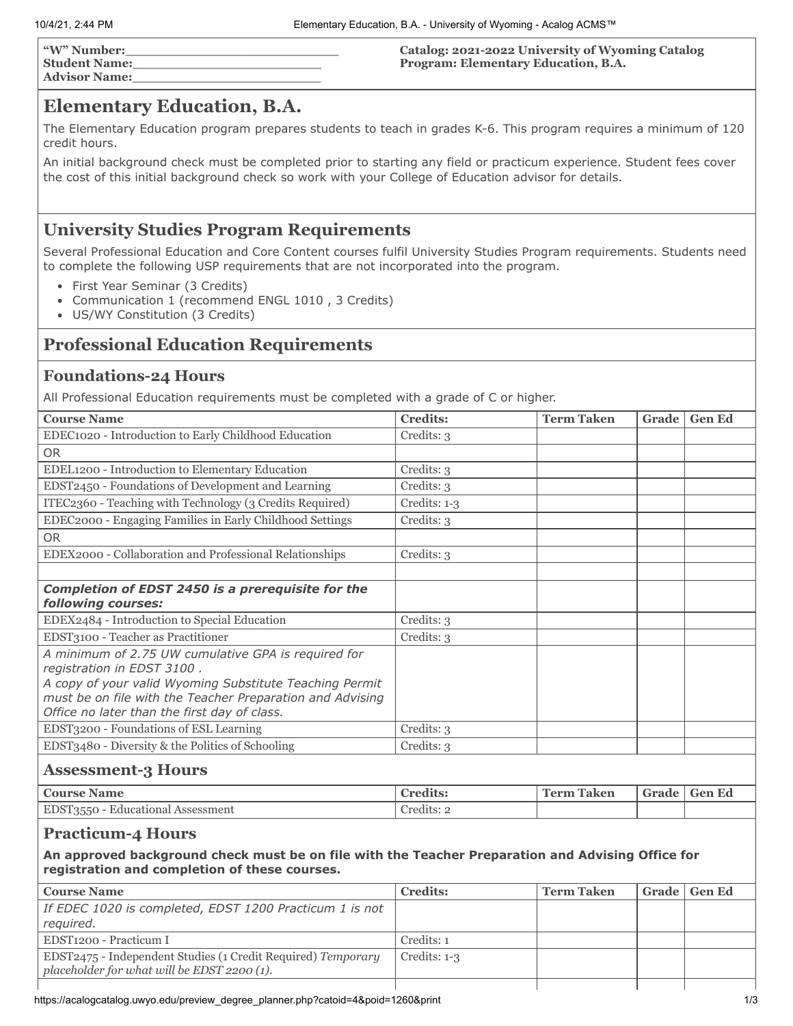| "W" Number:          | Catalog: 2021-2022 University of Wyoming Catalog |
|----------------------|--------------------------------------------------|
| <b>Student Name:</b> | <b>Program: Elementary Education, B.A.</b>       |
| <b>Advisor Name:</b> |                                                  |

## **Elementary Education, B.A.**

The Elementary Education program prepares students to teach in grades K-6. This program requires a minimum of 120 credit hours.

An initial background check must be completed prior to starting any field or practicum experience. Student fees cover the cost of this initial background check so work with your College of Education advisor for details.

## **University Studies Program Requirements**

Several Professional Education and Core Content courses fulfil University Studies Program requirements. Students need to complete the following USP requirements that are not incorporated into the program.

- First Year Seminar (3 Credits)
- Communication 1 (recommend ENGL 1010 , 3 Credits)
- US/WY Constitution (3 Credits)

## **Professional Education Requirements**

#### **Foundations-24 Hours**

All Professional Education requirements must be completed with a grade of C or higher.

| <b>Course Name</b>                                                                                                                                                                                                                                        | <b>Credits:</b> | <b>Term Taken</b> | Grade        | <b>Gen Ed</b> |
|-----------------------------------------------------------------------------------------------------------------------------------------------------------------------------------------------------------------------------------------------------------|-----------------|-------------------|--------------|---------------|
| EDEC1020 - Introduction to Early Childhood Education                                                                                                                                                                                                      | Credits: 3      |                   |              |               |
| <b>OR</b>                                                                                                                                                                                                                                                 |                 |                   |              |               |
| EDEL1200 - Introduction to Elementary Education                                                                                                                                                                                                           | Credits: 3      |                   |              |               |
| EDST2450 - Foundations of Development and Learning                                                                                                                                                                                                        | Credits: 3      |                   |              |               |
| ITEC2360 - Teaching with Technology (3 Credits Required)                                                                                                                                                                                                  | Credits: 1-3    |                   |              |               |
| EDEC2000 - Engaging Families in Early Childhood Settings                                                                                                                                                                                                  | Credits: 3      |                   |              |               |
| <b>OR</b>                                                                                                                                                                                                                                                 |                 |                   |              |               |
| EDEX2000 - Collaboration and Professional Relationships                                                                                                                                                                                                   | Credits: 3      |                   |              |               |
|                                                                                                                                                                                                                                                           |                 |                   |              |               |
| Completion of EDST 2450 is a prerequisite for the                                                                                                                                                                                                         |                 |                   |              |               |
| following courses:                                                                                                                                                                                                                                        |                 |                   |              |               |
| EDEX2484 - Introduction to Special Education                                                                                                                                                                                                              | Credits: 3      |                   |              |               |
| EDST3100 - Teacher as Practitioner                                                                                                                                                                                                                        | Credits: 3      |                   |              |               |
| A minimum of 2.75 UW cumulative GPA is required for<br>registration in EDST 3100.<br>A copy of your valid Wyoming Substitute Teaching Permit<br>must be on file with the Teacher Preparation and Advising<br>Office no later than the first day of class. |                 |                   |              |               |
| EDST3200 - Foundations of ESL Learning                                                                                                                                                                                                                    | Credits: 3      |                   |              |               |
| EDST3480 - Diversity & the Politics of Schooling                                                                                                                                                                                                          | Credits: 3      |                   |              |               |
| <b>Assessment-3 Hours</b>                                                                                                                                                                                                                                 |                 |                   |              |               |
| <b>Course Name</b>                                                                                                                                                                                                                                        | <b>Credits:</b> | <b>Term Taken</b> | Grade        | <b>Gen Ed</b> |
| EDST3550 - Educational Assessment                                                                                                                                                                                                                         | Credits: 2      |                   |              |               |
| <b>Practicum-4 Hours</b>                                                                                                                                                                                                                                  |                 |                   |              |               |
| An approved background check must be on file with the Teacher Preparation and Advising Office for<br>registration and completion of these courses.                                                                                                        |                 |                   |              |               |
| <b>Course Name</b>                                                                                                                                                                                                                                        | <b>Credits:</b> | <b>Term Taken</b> | <b>Grade</b> | <b>Gen Ed</b> |
| If EDEC 1020 is completed, EDST 1200 Practicum 1 is not<br>required.                                                                                                                                                                                      |                 |                   |              |               |
| EDST1200 - Practicum I                                                                                                                                                                                                                                    | Credits: 1      |                   |              |               |
| EDST2475 - Independent Studies (1 Credit Required) Temporary                                                                                                                                                                                              | Credits: 1-3    |                   |              |               |

*placeholder for what will be EDST 2200 (1).*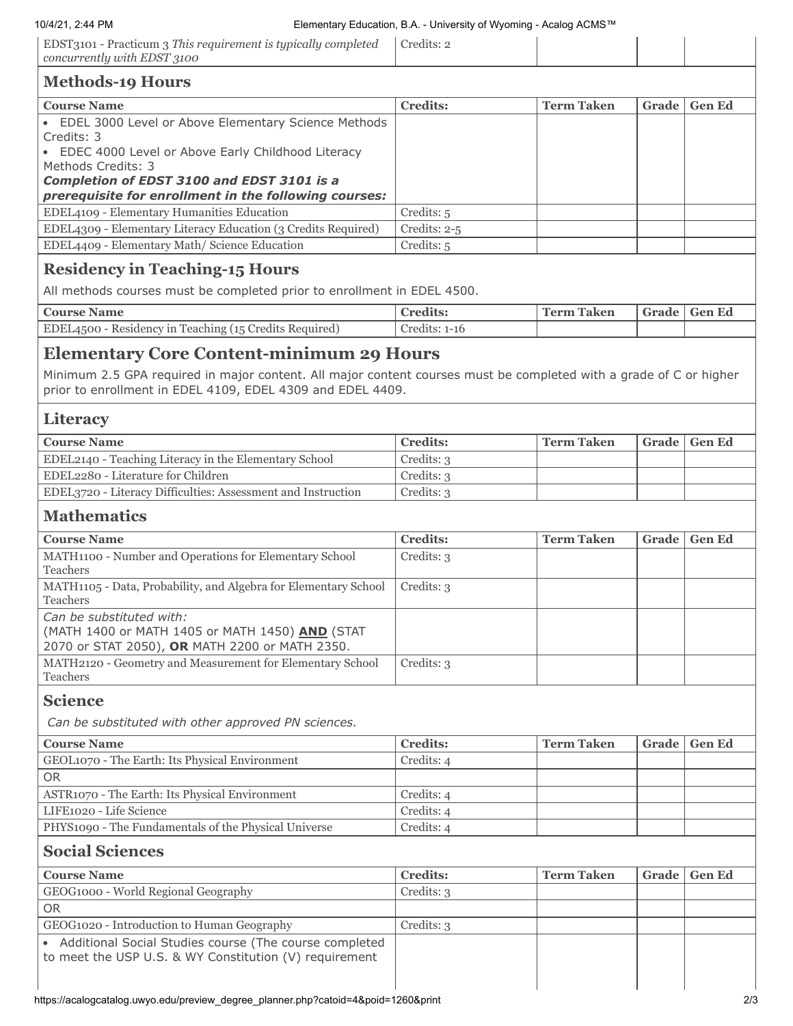| EDST3101 - Practicum 3 This requirement is typically completed<br>$\vert$ concurrently with EDST 3100 | Credits: 2 |  |  |
|-------------------------------------------------------------------------------------------------------|------------|--|--|
| .<br>$ -$                                                                                             |            |  |  |

| <b>Methods-19 Hours</b>                                                                                                                                                                                                                                        |                 |                   |              |               |
|----------------------------------------------------------------------------------------------------------------------------------------------------------------------------------------------------------------------------------------------------------------|-----------------|-------------------|--------------|---------------|
| <b>Course Name</b>                                                                                                                                                                                                                                             | <b>Credits:</b> | <b>Term Taken</b> | <b>Grade</b> | <b>Gen Ed</b> |
| • EDEL 3000 Level or Above Elementary Science Methods<br>Credits: 3<br>• EDEC 4000 Level or Above Early Childhood Literacy<br>Methods Credits: 3<br><b>Completion of EDST 3100 and EDST 3101 is a</b><br>prerequisite for enrollment in the following courses: |                 |                   |              |               |
| EDEL4109 - Elementary Humanities Education                                                                                                                                                                                                                     | Credits: 5      |                   |              |               |
| EDEL4309 - Elementary Literacy Education (3 Credits Required)                                                                                                                                                                                                  | Credits: $2-5$  |                   |              |               |
| EDEL4409 - Elementary Math/Science Education                                                                                                                                                                                                                   | Credits: 5      |                   |              |               |
| $Dogidomari n Togahina - Hajna$                                                                                                                                                                                                                                |                 |                   |              |               |

## **Residency in Teaching-15 Hours**

All methods courses must be completed prior to enrollment in EDEL 4500.

| <b>Course Name</b>                                     | <b>Credits:</b> | Taken<br><b>Term</b> | Grade | Gen Ed |
|--------------------------------------------------------|-----------------|----------------------|-------|--------|
| EDEL4500 - Residency in Teaching (15 Credits Required) | Credits: 1-16   |                      |       |        |

## **Elementary Core Content-minimum 29 Hours**

Minimum 2.5 GPA required in major content. All major content courses must be completed with a grade of C or higher prior to enrollment in EDEL 4109, EDEL 4309 and EDEL 4409.

### **Literacy**

| <b>Course Name</b>                                           | <b>Credits:</b> | <b>Term Taken</b> | Grade   Gen Ed |
|--------------------------------------------------------------|-----------------|-------------------|----------------|
| EDEL2140 - Teaching Literacy in the Elementary School        | Credits: 3      |                   |                |
| EDEL2280 - Literature for Children                           | Credits: 3      |                   |                |
| EDEL3720 - Literacy Difficulties: Assessment and Instruction | Credits: 3      |                   |                |

## **Mathematics**

| <b>Course Name</b>                                                                                                            | <b>Credits:</b> | <b>Term Taken</b> | Grade | <b>Gen Ed</b> |
|-------------------------------------------------------------------------------------------------------------------------------|-----------------|-------------------|-------|---------------|
| MATH1100 - Number and Operations for Elementary School<br><b>Teachers</b>                                                     | Credits: 3      |                   |       |               |
| MATH1105 - Data, Probability, and Algebra for Elementary School<br><b>Teachers</b>                                            | Credits: 3      |                   |       |               |
| Can be substituted with:<br>(MATH 1400 or MATH 1405 or MATH 1450) AND (STAT<br>2070 or STAT 2050), OR MATH 2200 or MATH 2350. |                 |                   |       |               |
| MATH2120 - Geometry and Measurement for Elementary School<br>Teachers                                                         | Credits: 3      |                   |       |               |

### **Science**

*Can be substituted with other approved PN sciences.*

| <b>Course Name</b>                                   | <b>Credits:</b> | <b>Term Taken</b> | Grade   Gen Ed |
|------------------------------------------------------|-----------------|-------------------|----------------|
| GEOL1070 - The Earth: Its Physical Environment       | Credits: 4      |                   |                |
| <b>OR</b>                                            |                 |                   |                |
| ASTR1070 - The Earth: Its Physical Environment       | Credits: 4      |                   |                |
| LIFE1020 - Life Science                              | Credits: 4      |                   |                |
| PHYS1090 - The Fundamentals of the Physical Universe | Credits: 4      |                   |                |

## **Social Sciences**

| <b>Course Name</b>                                                                                                 | <b>Credits:</b> | <b>Term Taken</b> | Grade | <b>Gen Ed</b> |
|--------------------------------------------------------------------------------------------------------------------|-----------------|-------------------|-------|---------------|
| GEOG1000 - World Regional Geography                                                                                | Credits: 3      |                   |       |               |
| <b>OR</b>                                                                                                          |                 |                   |       |               |
| GEOG1020 - Introduction to Human Geography                                                                         | Credits: 3      |                   |       |               |
| • Additional Social Studies course (The course completed<br>to meet the USP U.S. & WY Constitution (V) requirement |                 |                   |       |               |